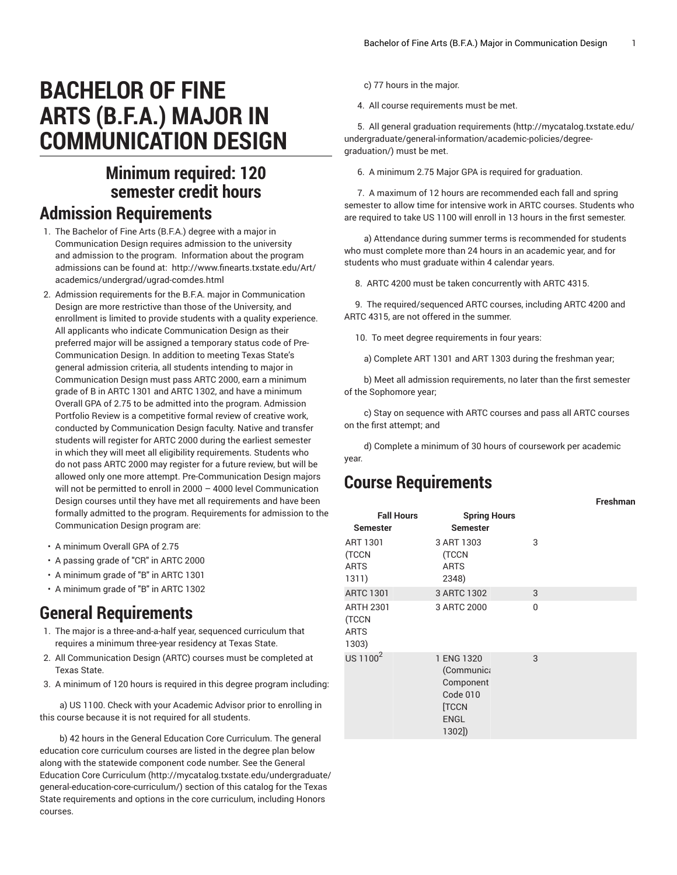# **BACHELOR OF FINE ARTS (B.F.A.) MAJOR IN COMMUNICATION DESIGN**

## **Minimum required: 120 semester credit hours**

#### **Admission Requirements**

- 1. The Bachelor of Fine Arts (B.F.A.) degree with a major in Communication Design requires admission to the university and admission to the program. Information about the program admissions can be found at: [http://www.finearts.txstate.edu/Art/](http://www.finearts.txstate.edu/Art/academics/undergrad/ugrad-comdes.html) [academics/undergrad/ugrad-comdes.html](http://www.finearts.txstate.edu/Art/academics/undergrad/ugrad-comdes.html)
- 2. Admission requirements for the B.F.A. major in Communication Design are more restrictive than those of the University, and enrollment is limited to provide students with a quality experience. All applicants who indicate Communication Design as their preferred major will be assigned a temporary status code of Pre-Communication Design. In addition to meeting Texas State's general admission criteria, all students intending to major in Communication Design must pass [ARTC](/search/?P=ARTC%202000) 2000, earn a minimum grade of B in [ARTC](/search/?P=ARTC%201301) 1301 and [ARTC](/search/?P=ARTC%201302) 1302, and have a minimum Overall GPA of 2.75 to be admitted into the program. Admission Portfolio Review is a competitive formal review of creative work, conducted by Communication Design faculty. Native and transfer students will register for [ARTC](/search/?P=ARTC%202000) 2000 during the earliest semester in which they will meet all eligibility requirements. Students who do not pass [ARTC](/search/?P=ARTC%202000) 2000 may register for a future review, but will be allowed only one more attempt. Pre-Communication Design majors will not be permitted to enroll in 2000 – 4000 level Communication Design courses until they have met all requirements and have been formally admitted to the program. Requirements for admission to the Communication Design program are:
- A minimum Overall GPA of 2.75
- A passing grade of "CR" in [ARTC](/search/?P=ARTC%202000) 2000
- A minimum grade of "B" in [ARTC](/search/?P=ARTC%201301) 1301
- A minimum grade of "B" in [ARTC](/search/?P=ARTC%201302) 1302

### **General Requirements**

- 1. The major is a three-and-a-half year, sequenced curriculum that requires a minimum three-year residency at Texas State.
- 2. All Communication Design (ARTC) courses must be completed at Texas State.
- 3. A minimum of 120 hours is required in this degree program including:

 a) US 1100. Check with your Academic Advisor prior to enrolling in this course because it is not required for all students.

b) 42 hours in the General Education Core Curriculum. The general education core curriculum courses are listed in the degree plan below along with the statewide component code number. See the [General](http://mycatalog.txstate.edu/undergraduate/general-education-core-curriculum/) Education Core [Curriculum](http://mycatalog.txstate.edu/undergraduate/general-education-core-curriculum/) ([http://mycatalog.txstate.edu/undergraduate/](http://mycatalog.txstate.edu/undergraduate/general-education-core-curriculum/) [general-education-core-curriculum/\)](http://mycatalog.txstate.edu/undergraduate/general-education-core-curriculum/) section of this catalog for the Texas State requirements and options in the core curriculum, including Honors courses.

c) 77 hours in the major.

4. All course requirements must be met.

 5. All general graduation [requirements](http://mycatalog.txstate.edu/undergraduate/general-information/academic-policies/degree-graduation/) ([http://mycatalog.txstate.edu/](http://mycatalog.txstate.edu/undergraduate/general-information/academic-policies/degree-graduation/) [undergraduate/general-information/academic-policies/degree](http://mycatalog.txstate.edu/undergraduate/general-information/academic-policies/degree-graduation/)[graduation/\)](http://mycatalog.txstate.edu/undergraduate/general-information/academic-policies/degree-graduation/) must be met.

6. A minimum 2.75 Major GPA is required for graduation.

7. A maximum of 12 hours are recommended each fall and spring semester to allow time for intensive work in ARTC courses. Students who are required to take US 1100 will enroll in 13 hours in the first semester.

a) Attendance during summer terms is recommended for students who must complete more than 24 hours in an academic year, and for students who must graduate within 4 calendar years.

8. ARTC 4200 must be taken concurrently with ARTC 4315.

9. The required/sequenced ARTC courses, including ARTC 4200 and ARTC 4315, are not offered in the summer.

10. To meet degree requirements in four years:

a) Complete ART 1301 and ART 1303 during the freshman year;

b) Meet all admission requirements, no later than the first semester of the Sophomore year;

c) Stay on sequence with ARTC courses and pass all ARTC courses on the first attempt; and

 d) Complete a minimum of 30 hours of coursework per academic year.

**Freshman**

#### **Course Requirements**

| <b>Fall Hours</b><br><b>Semester</b> | <b>Spring Hours</b><br><b>Semester</b>                                                   |          |
|--------------------------------------|------------------------------------------------------------------------------------------|----------|
| ART 1301<br>(TCCN<br>ARTS<br>1311)   | 3 ART 1303<br>(TCCN<br><b>ARTS</b><br>2348)                                              | 3        |
| <b>ARTC 1301</b>                     | 3 ARTC 1302                                                                              | 3        |
| ARTH 2301<br>(TCCN<br>ARTS<br>1303)  | 3 ARTC 2000                                                                              | $\Omega$ |
| US 1100 $^2$                         | 1 ENG 1320<br>(Communica<br>Component<br>Code 010<br><b>TCCN</b><br><b>ENGL</b><br>1302] | 3        |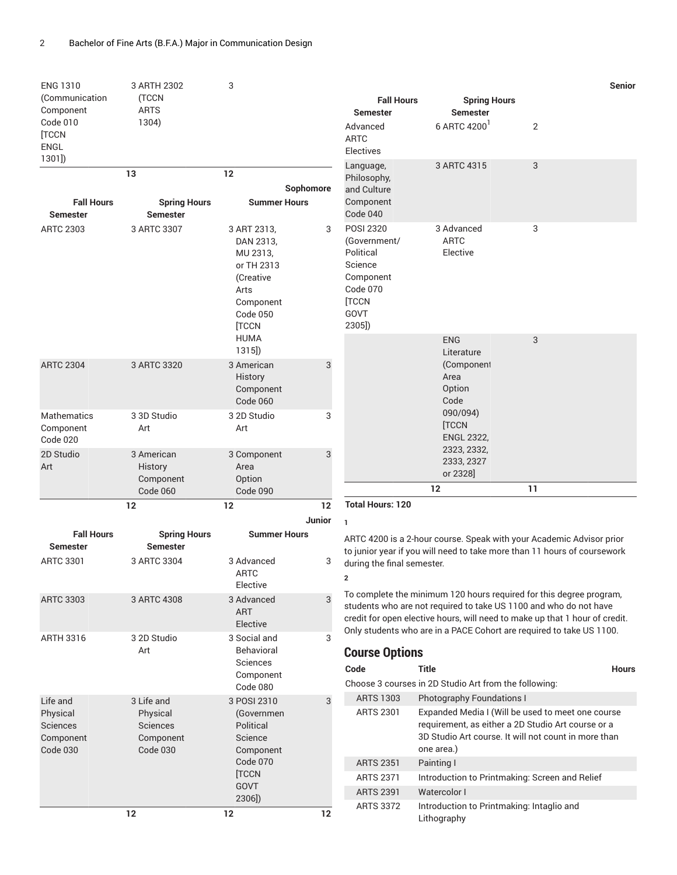| <b>ENG 1310</b>                     | 3 ARTH 2302                    | 3                                                                                      |              |                                      |                                                                                                                                                  | Senior                                                                                                                                           |  |
|-------------------------------------|--------------------------------|----------------------------------------------------------------------------------------|--------------|--------------------------------------|--------------------------------------------------------------------------------------------------------------------------------------------------|--------------------------------------------------------------------------------------------------------------------------------------------------|--|
| (Communication<br>Component         | (TCCN<br>ARTS                  |                                                                                        |              | <b>Fall Hours</b>                    | <b>Spring Hours</b>                                                                                                                              |                                                                                                                                                  |  |
| Code 010                            | 1304)                          |                                                                                        |              | <b>Semester</b><br>Advanced          | <b>Semester</b><br>6 ARTC 4200                                                                                                                   | 2                                                                                                                                                |  |
| [TCCN                               |                                |                                                                                        |              | <b>ARTC</b>                          |                                                                                                                                                  |                                                                                                                                                  |  |
| ENGL<br>1301]                       |                                |                                                                                        |              | <b>Electives</b>                     |                                                                                                                                                  |                                                                                                                                                  |  |
|                                     | 13                             | 12                                                                                     |              | Language,<br>Philosophy,             | 3 ARTC 4315                                                                                                                                      | 3                                                                                                                                                |  |
|                                     |                                |                                                                                        | Sophomore    | and Culture                          |                                                                                                                                                  |                                                                                                                                                  |  |
| <b>Fall Hours</b>                   | <b>Spring Hours</b>            | <b>Summer Hours</b>                                                                    |              | Component                            |                                                                                                                                                  |                                                                                                                                                  |  |
| <b>Semester</b><br><b>ARTC 2303</b> | <b>Semester</b><br>3 ARTC 3307 | 3 ART 2313,                                                                            | 3            | Code 040<br>POSI 2320                | 3 Advanced                                                                                                                                       | 3                                                                                                                                                |  |
|                                     |                                | DAN 2313,                                                                              |              | (Government/                         | <b>ARTC</b>                                                                                                                                      |                                                                                                                                                  |  |
|                                     |                                | MU 2313,                                                                               |              | Political                            | Elective                                                                                                                                         |                                                                                                                                                  |  |
|                                     |                                | or TH 2313<br>(Creative                                                                |              | Science<br>Component                 |                                                                                                                                                  |                                                                                                                                                  |  |
|                                     |                                | Arts                                                                                   |              | Code 070                             |                                                                                                                                                  |                                                                                                                                                  |  |
|                                     |                                | Component<br>Code 050                                                                  |              | [TCCN<br>GOVT                        |                                                                                                                                                  |                                                                                                                                                  |  |
|                                     |                                | [TCCN                                                                                  |              | 2305])                               |                                                                                                                                                  |                                                                                                                                                  |  |
|                                     |                                | <b>HUMA</b>                                                                            |              |                                      | <b>ENG</b>                                                                                                                                       | 3                                                                                                                                                |  |
| <b>ARTC 2304</b>                    | 3 ARTC 3320                    | $1315$ )<br>3 American                                                                 | 3            |                                      | Literature<br>(Component                                                                                                                         |                                                                                                                                                  |  |
|                                     |                                | <b>History</b>                                                                         |              |                                      | Area                                                                                                                                             |                                                                                                                                                  |  |
|                                     |                                | Component                                                                              |              |                                      | Option                                                                                                                                           |                                                                                                                                                  |  |
| <b>Mathematics</b>                  | 3 3D Studio                    | Code 060<br>3 2D Studio                                                                | 3            |                                      | Code<br>090/094)                                                                                                                                 |                                                                                                                                                  |  |
| Component                           | Art                            | Art                                                                                    |              |                                      | [TCCN                                                                                                                                            |                                                                                                                                                  |  |
| Code 020                            |                                |                                                                                        |              |                                      | <b>ENGL 2322,</b><br>2323, 2332,                                                                                                                 |                                                                                                                                                  |  |
| 2D Studio<br>Art                    | 3 American<br>History          | 3 Component<br>Area                                                                    | 3            |                                      | 2333, 2327                                                                                                                                       |                                                                                                                                                  |  |
|                                     | Component                      | Option                                                                                 |              |                                      | or 2328]                                                                                                                                         |                                                                                                                                                  |  |
|                                     | Code 060                       | Code 090                                                                               |              |                                      | 12                                                                                                                                               | 11                                                                                                                                               |  |
|                                     | 12                             | 12                                                                                     | 12<br>Junior | <b>Total Hours: 120</b>              |                                                                                                                                                  |                                                                                                                                                  |  |
| <b>Fall Hours</b>                   | <b>Spring Hours</b>            | <b>Summer Hours</b>                                                                    |              | $\mathbf{1}$                         |                                                                                                                                                  |                                                                                                                                                  |  |
| <b>Semester</b>                     | <b>Semester</b>                |                                                                                        |              |                                      |                                                                                                                                                  | ARTC 4200 is a 2-hour course. Speak with your Academic Advisor prior<br>to junior year if you will need to take more than 11 hours of coursework |  |
| <b>ARTC 3301</b>                    | 3 ARTC 3304                    | 3 Advanced                                                                             | 3            | during the final semester.           |                                                                                                                                                  |                                                                                                                                                  |  |
|                                     |                                | ARTC<br>Elective                                                                       |              | $\overline{\mathbf{2}}$              |                                                                                                                                                  |                                                                                                                                                  |  |
| <b>ARTC 3303</b>                    | 3 ARTC 4308                    | To complete the minimum 120 hours required for this degree program,<br>3<br>3 Advanced |              |                                      |                                                                                                                                                  |                                                                                                                                                  |  |
|                                     |                                | <b>ART</b>                                                                             |              |                                      | students who are not required to take US 1100 and who do not have<br>credit for open elective hours, will need to make up that 1 hour of credit. |                                                                                                                                                  |  |
| <b>ARTH 3316</b>                    | 3 2D Studio                    | Elective<br>3 Social and                                                               | 3            |                                      |                                                                                                                                                  | Only students who are in a PACE Cohort are required to take US 1100.                                                                             |  |
|                                     | Art                            | Behavioral                                                                             |              | <b>Course Options</b>                |                                                                                                                                                  |                                                                                                                                                  |  |
|                                     |                                | <b>Sciences</b>                                                                        |              | Code                                 | <b>Title</b>                                                                                                                                     | <b>Hours</b>                                                                                                                                     |  |
|                                     |                                | Component<br>Code 080                                                                  |              |                                      | Choose 3 courses in 2D Studio Art from the following:                                                                                            |                                                                                                                                                  |  |
| Life and                            | 3 Life and                     | 3 POSI 2310                                                                            | 3            | <b>ARTS 1303</b>                     | <b>Photography Foundations I</b>                                                                                                                 |                                                                                                                                                  |  |
| Physical<br>Sciences                | Physical<br><b>Sciences</b>    | (Governmen<br>Political                                                                |              | <b>ARTS 2301</b>                     |                                                                                                                                                  | Expanded Media I (Will be used to meet one course<br>requirement, as either a 2D Studio Art course or a                                          |  |
| Component                           | Component                      | Science                                                                                |              |                                      |                                                                                                                                                  | 3D Studio Art course. It will not count in more than                                                                                             |  |
| Code 030                            | Code 030                       | Component                                                                              |              |                                      | one area.)                                                                                                                                       |                                                                                                                                                  |  |
|                                     |                                | Code 070<br>[TCCN                                                                      |              | <b>ARTS 2351</b>                     | Painting I                                                                                                                                       |                                                                                                                                                  |  |
|                                     |                                | <b>GOVT</b>                                                                            |              | <b>ARTS 2371</b><br><b>ARTS 2391</b> | Introduction to Printmaking: Screen and Relief<br>Watercolor I                                                                                   |                                                                                                                                                  |  |
|                                     |                                | 2306])                                                                                 |              | <b>ARTS 3372</b>                     | Introduction to Printmaking: Intaglio and                                                                                                        |                                                                                                                                                  |  |
|                                     | 12                             | 12                                                                                     | 12           |                                      | Lithography                                                                                                                                      |                                                                                                                                                  |  |

Lithography